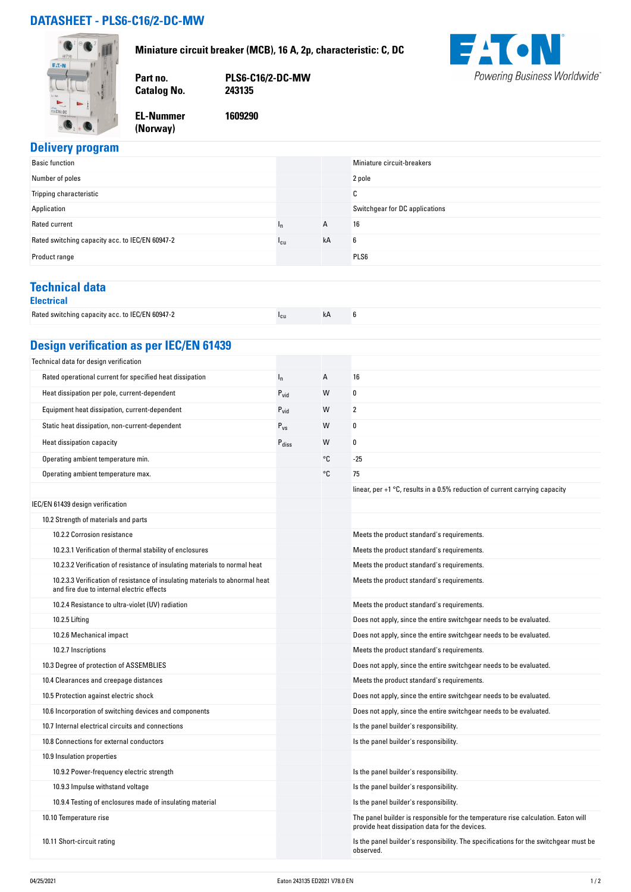## **DATASHEET - PLS6-C16/2-DC-MW**



**Miniature circuit breaker (MCB), 16 A, 2p, characteristic: C, DC**



**EL-Nummer (Norway)** 

**Catalog No.** 

**1609290**

**Part no. PLS6-C16/2-DC-MW**

# **Delivery program**

| <b>Basic function</b>                           |                    |    | Miniature circuit-breakers     |
|-------------------------------------------------|--------------------|----|--------------------------------|
| Number of poles                                 |                    |    | 2 pole                         |
| Tripping characteristic                         |                    |    | $\sim$<br>◡                    |
| Application                                     |                    |    | Switchgear for DC applications |
| Rated current                                   | In.                | A  | 16                             |
| Rated switching capacity acc. to IEC/EN 60947-2 | $^{\mathsf{I}}$ cu | kA | 6                              |
| Product range                                   |                    |    | PLS6                           |

#### **Technical data**

| Rated switching capacity acc. to IEC/EN 60947-2 |  |  |
|-------------------------------------------------|--|--|

# **Design verification as per IEC/EN 61439**

| Technical data for design verification                                                                                    |                   |    |                                                                                                                                     |
|---------------------------------------------------------------------------------------------------------------------------|-------------------|----|-------------------------------------------------------------------------------------------------------------------------------------|
| Rated operational current for specified heat dissipation                                                                  | $I_n$             | A  | 16                                                                                                                                  |
| Heat dissipation per pole, current-dependent                                                                              | $P_{\text{vid}}$  | W  | 0                                                                                                                                   |
| Equipment heat dissipation, current-dependent                                                                             | $P_{\text{vid}}$  | W  | $\overline{2}$                                                                                                                      |
| Static heat dissipation, non-current-dependent                                                                            | $P_{VS}$          | W  | 0                                                                                                                                   |
| Heat dissipation capacity                                                                                                 | P <sub>diss</sub> | W  | 0                                                                                                                                   |
| Operating ambient temperature min.                                                                                        |                   | ۰c | $-25$                                                                                                                               |
| Operating ambient temperature max.                                                                                        |                   | ۰c | 75                                                                                                                                  |
|                                                                                                                           |                   |    | linear, per $+1$ °C, results in a 0.5% reduction of current carrying capacity                                                       |
| IEC/EN 61439 design verification                                                                                          |                   |    |                                                                                                                                     |
| 10.2 Strength of materials and parts                                                                                      |                   |    |                                                                                                                                     |
| 10.2.2 Corrosion resistance                                                                                               |                   |    | Meets the product standard's requirements.                                                                                          |
| 10.2.3.1 Verification of thermal stability of enclosures                                                                  |                   |    | Meets the product standard's requirements.                                                                                          |
| 10.2.3.2 Verification of resistance of insulating materials to normal heat                                                |                   |    | Meets the product standard's requirements.                                                                                          |
| 10.2.3.3 Verification of resistance of insulating materials to abnormal heat<br>and fire due to internal electric effects |                   |    | Meets the product standard's requirements.                                                                                          |
| 10.2.4 Resistance to ultra-violet (UV) radiation                                                                          |                   |    | Meets the product standard's requirements.                                                                                          |
| 10.2.5 Lifting                                                                                                            |                   |    | Does not apply, since the entire switchgear needs to be evaluated.                                                                  |
| 10.2.6 Mechanical impact                                                                                                  |                   |    | Does not apply, since the entire switchgear needs to be evaluated.                                                                  |
| 10.2.7 Inscriptions                                                                                                       |                   |    | Meets the product standard's requirements.                                                                                          |
| 10.3 Degree of protection of ASSEMBLIES                                                                                   |                   |    | Does not apply, since the entire switchgear needs to be evaluated.                                                                  |
| 10.4 Clearances and creepage distances                                                                                    |                   |    | Meets the product standard's requirements.                                                                                          |
| 10.5 Protection against electric shock                                                                                    |                   |    | Does not apply, since the entire switchgear needs to be evaluated.                                                                  |
| 10.6 Incorporation of switching devices and components                                                                    |                   |    | Does not apply, since the entire switchgear needs to be evaluated.                                                                  |
| 10.7 Internal electrical circuits and connections                                                                         |                   |    | Is the panel builder's responsibility.                                                                                              |
| 10.8 Connections for external conductors                                                                                  |                   |    | Is the panel builder's responsibility.                                                                                              |
| 10.9 Insulation properties                                                                                                |                   |    |                                                                                                                                     |
| 10.9.2 Power-frequency electric strength                                                                                  |                   |    | Is the panel builder's responsibility.                                                                                              |
| 10.9.3 Impulse withstand voltage                                                                                          |                   |    | Is the panel builder's responsibility.                                                                                              |
| 10.9.4 Testing of enclosures made of insulating material                                                                  |                   |    | Is the panel builder's responsibility.                                                                                              |
| 10.10 Temperature rise                                                                                                    |                   |    | The panel builder is responsible for the temperature rise calculation. Eaton will<br>provide heat dissipation data for the devices. |
| 10.11 Short-circuit rating                                                                                                |                   |    | Is the panel builder's responsibility. The specifications for the switchgear must be<br>observed.                                   |